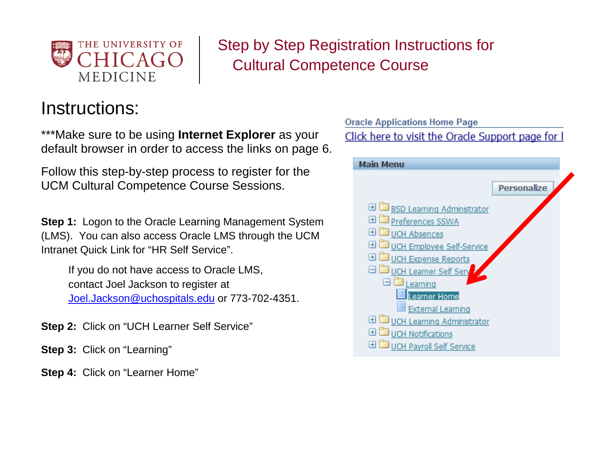

 Step by Step Registration Instructions for Cultural Competence Course

# Instructions:

\*\*\*Make sure to be using **Internet Explorer** as your default browser in order to access the links on page 6.

Follow this step-by-step process to register for the UCM Cultural Competence Course Sessions.

**Step 1:** Logon to the Oracle Learning Management System (LMS). You can also access Oracle LMS through the UCM Intranet Quick Link for "HR Self Service".

If you do not have access to Oracle LMS, contact Joel Jackson to register at [Joel.Jackson@uchospitals.edu](mailto:Joel.Jackson@uchospitals.edu) or 773-702-4351.

**Step 2:** Click on "UCH Learner Self Service"

**Step 3:** Click on "Learning"

**Step 4:** Click on "Learner Home"

**Oracle Applications Home Page** Click here to visit the Oracle Support page for I **Main Menu Personalize ⊞** BSD Learning Administrator **ED** Preferences SSWA **ED** UCH Absences **⊞** UCH Employee Self-Service **ED** UCH Expense Reports O DUCH Learner Self Serv  $\Box$  Learning **Learner Home** ■ External Learning **El Duch Learning Administrator ⊞** UCH Notifications **El Duch Payroll Self Service**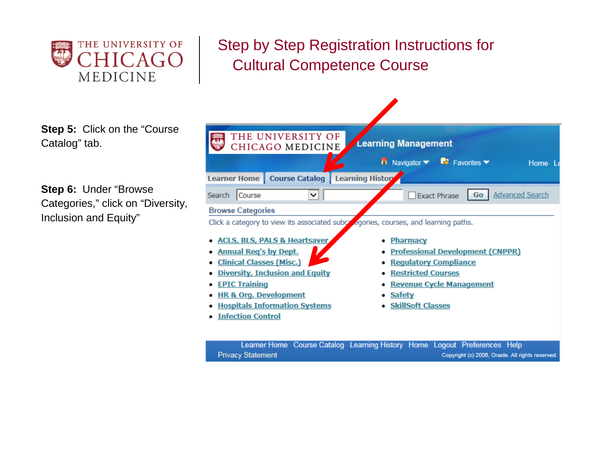

## Step by Step Registration Instructions for  $HICAGO$  Cultural Competence Course

**Step 5:** Click on the "Course Catalog" tab.

**Step 6:** Under "Browse Categories," click on "Diversity, Inclusion and Equity"

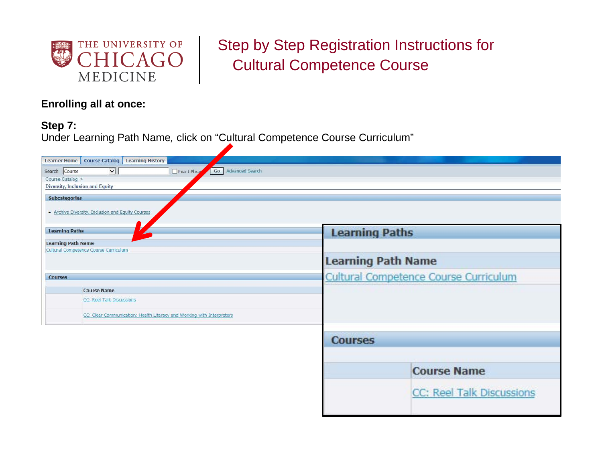

## Step by Step Registration Instructions for CAGO | Cultural Competence Course

### **Enrolling all at once:**

### **Step 7:**

Under Learning Path Name*,* click on "Cultural Competence Course Curriculum"

| Learner Home   Course Catalog   Learning History                               |                                       |  |  |  |  |  |
|--------------------------------------------------------------------------------|---------------------------------------|--|--|--|--|--|
| $\vert \mathbf{v} \vert$<br>Go Advanced Search<br>Search Course<br>Exact Phrag |                                       |  |  |  |  |  |
| Course Catalog >                                                               |                                       |  |  |  |  |  |
| Diversity, Inclusion and Equity                                                |                                       |  |  |  |  |  |
| <b>Subcategories</b>                                                           |                                       |  |  |  |  |  |
|                                                                                |                                       |  |  |  |  |  |
| . Archive Diversity, Inclusion and Equity Courses                              |                                       |  |  |  |  |  |
| <b>Learning Paths</b>                                                          |                                       |  |  |  |  |  |
|                                                                                | <b>Learning Paths</b>                 |  |  |  |  |  |
| <b>Learning Path Name</b><br>Cultural Competence Course Curriculum             |                                       |  |  |  |  |  |
|                                                                                |                                       |  |  |  |  |  |
| <b>Learning Path Name</b>                                                      |                                       |  |  |  |  |  |
| <b>Courses</b>                                                                 | Cultural Competence Course Curriculum |  |  |  |  |  |
| <b>Course Name</b>                                                             |                                       |  |  |  |  |  |
| CC: Reel Talk Discussions                                                      |                                       |  |  |  |  |  |
|                                                                                |                                       |  |  |  |  |  |
| CC: Clear Communication: Health Literacy and Working with Interpreters         |                                       |  |  |  |  |  |
|                                                                                |                                       |  |  |  |  |  |
|                                                                                |                                       |  |  |  |  |  |
|                                                                                | <b>Courses</b>                        |  |  |  |  |  |
|                                                                                |                                       |  |  |  |  |  |
|                                                                                |                                       |  |  |  |  |  |
|                                                                                | <b>Course Name</b>                    |  |  |  |  |  |
|                                                                                |                                       |  |  |  |  |  |
|                                                                                | CC: Reel Talk Discussions             |  |  |  |  |  |
|                                                                                |                                       |  |  |  |  |  |
|                                                                                |                                       |  |  |  |  |  |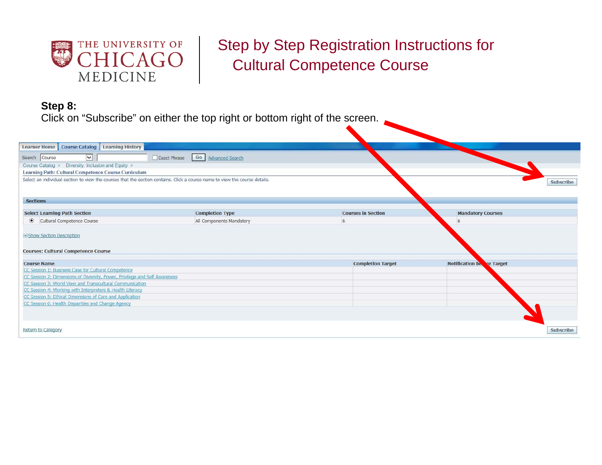

### Step by Step Registration Instructions for  $CHICAGO$   $\left\vert$   $\right\vert$  Cultural Competence Course

### **Step 8:**

Click on "Subscribe" on either the top right or bottom right of the screen.